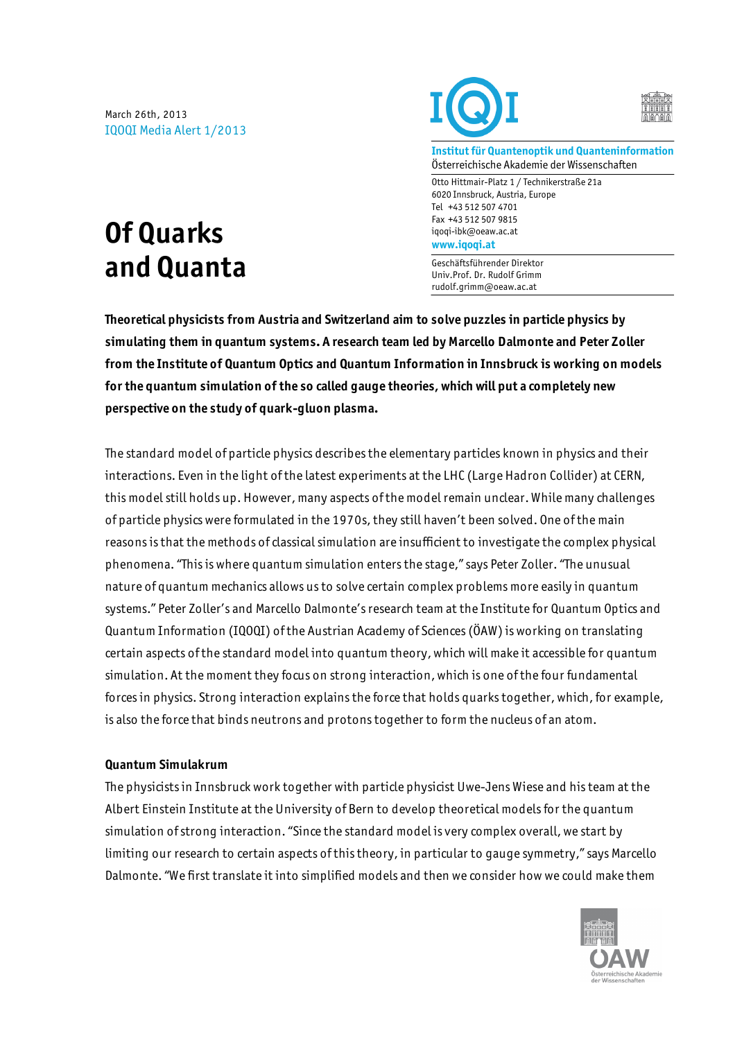March 26th, 2013 IQOQI Media Alert 1/2013





**Institut für Quantenoptik und Quanteninformation** Österreichische Akademie der Wissenschaften

Otto Hittmair-Platz 1 / Technikerstraße 21a 6020 Innsbruck, Austria, Europe Tel +43 512 507 4701 Fax +43 512 507 9815 iqoqi-ibk@oeaw.ac.at **www.iqoqi.at**

Geschäftsführender Direktor Univ.Prof. Dr. Rudolf Grimm rudolf.grimm@oeaw.ac.at

**Theoretical physicists from Austria and Switzerland aim to solve puzzles in particle physics by simulating them in quantum systems. A research team led by Marcello Dalmonte and Peter Zoller from the Institute of Quantum Optics and Quantum Information in Innsbruck is working on models for the quantum simulation of the so called gauge theories, which will put a completely new perspective on the study of quark-gluon plasma.**

The standard model of particle physics describes the elementary particles known in physics and their interactions. Even in the light of the latest experiments at the LHC (Large Hadron Collider) at CERN, this model still holds up. However, many aspects of the model remain unclear. While many challenges of particle physics were formulated in the 1970s, they still haven't been solved. One of the main reasons is that the methods of classical simulation are insufficient to investigate the complex physical phenomena. "This is where quantum simulation enters the stage," says Peter Zoller. "The unusual nature of quantum mechanics allows us to solve certain complex problems more easily in quantum systems." Peter Zoller's and Marcello Dalmonte's research team at the Institute for Quantum Optics and Quantum Information (IQOQI) of the Austrian Academy of Sciences (ÖAW) is working on translating certain aspects of the standard model into quantum theory, which will make it accessible for quantum simulation. At the moment they focus on strong interaction, which is one of the four fundamental forces in physics. Strong interaction explains the force that holds quarks together, which, for example, is also the force that binds neutrons and protons together to form the nucleus of an atom.

#### **Quantum Simulakrum**

The physicists in Innsbruck work together with particle physicist Uwe-Jens Wiese and his team at the Albert Einstein Institute at the University of Bern to develop theoretical models for the quantum simulation of strong interaction. "Since the standard model is very complex overall, we start by limiting our research to certain aspects of this theory, in particular to gauge symmetry," says Marcello Dalmonte. "We first translate it into simplified models and then we consider how we could make them



# **Of Quarks and Quanta**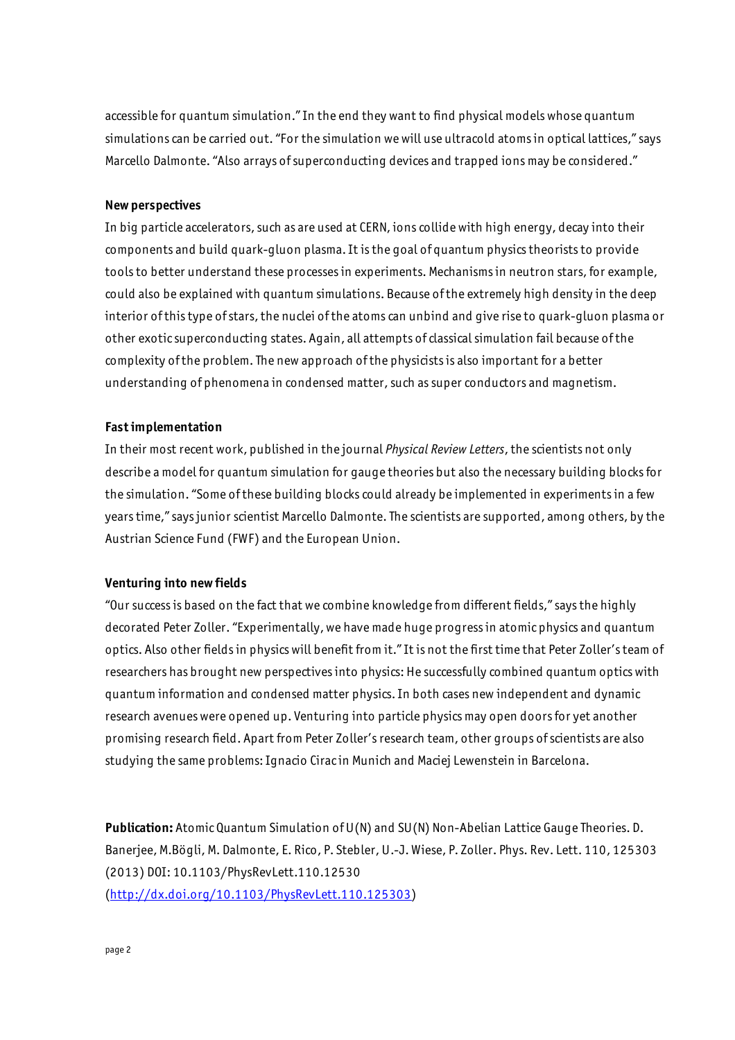accessible for quantum simulation." In the end they want to find physical models whose quantum simulations can be carried out. "For the simulation we will use ultracold atoms in optical lattices," says Marcello Dalmonte. "Also arrays of superconducting devices and trapped ions may be considered."

#### **New perspectives**

In big particle accelerators, such as are used at CERN, ions collide with high energy, decay into their components and build quark-gluon plasma. It is the goal of quantum physics theorists to provide tools to better understand these processes in experiments. Mechanisms in neutron stars, for example, could also be explained with quantum simulations. Because of the extremely high density in the deep interior of this type of stars, the nuclei of the atoms can unbind and give rise to quark-gluon plasma or other exotic superconducting states. Again, all attempts of classical simulation fail because of the complexity of the problem. The new approach of the physicists is also important for a better understanding of phenomena in condensed matter, such as super conductors and magnetism.

### **Fast implementation**

In their most recent work, published in the journal *Physical Review Letters*, the scientists not only describe a model for quantum simulation for gauge theories but also the necessary building blocks for the simulation. "Some of these building blocks could already be implemented in experiments in a few years time," says junior scientist Marcello Dalmonte. The scientists are supported, among others, by the Austrian Science Fund (FWF) and the European Union.

## **Venturing into new fields**

"Our success is based on the fact that we combine knowledge from different fields," says the highly decorated Peter Zoller. "Experimentally, we have made huge progress in atomic physics and quantum optics. Also other fields in physics will benefit from it." It is not the first time that Peter Zoller's team of researchers has brought new perspectives into physics: He successfully combined quantum optics with quantum information and condensed matter physics. In both cases new independent and dynamic research avenues were opened up. Venturing into particle physics may open doors for yet another promising research field. Apart from Peter Zoller's research team, other groups of scientists are also studying the same problems: Ignacio Cirac in Munich and Maciej Lewenstein in Barcelona.

**Publication:** Atomic Quantum Simulation of U(N) and SU(N) Non-Abelian Lattice Gauge Theories. D. Banerjee, M.Bögli, M. Dalmonte, E. Rico, P. Stebler, U.-J. Wiese, P. Zoller. Phys. Rev. Lett. 110, 125303 (2013) DOI: 10.1103/PhysRevLett.110.12530 (http://dx.doi.org/10.1103/PhysRevLett.110.125303)